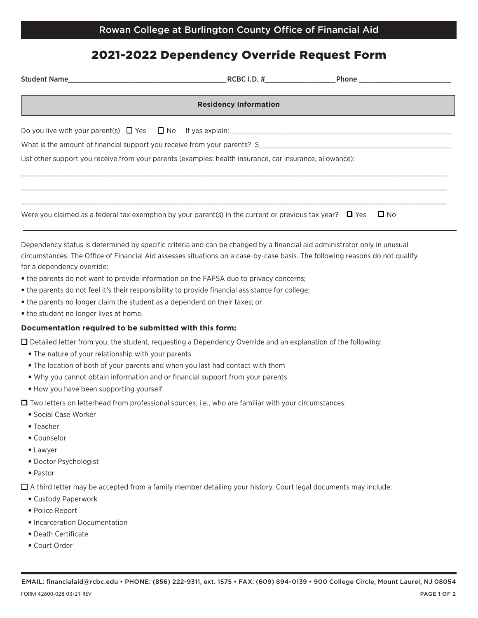## 2021-2022 Dependency Override Request Form

| Student Name <b>Student Name RCBC I.D. #</b> Phone <b>Phone Phone Phone Phone Phone Phone Phone Phone Phone Phone Phone Phone Phone Phone Phone Phone Phone Phone Phone Phone Phone Phone</b>                                                                                          |  |              |
|----------------------------------------------------------------------------------------------------------------------------------------------------------------------------------------------------------------------------------------------------------------------------------------|--|--------------|
| <b>Residency Information</b>                                                                                                                                                                                                                                                           |  |              |
|                                                                                                                                                                                                                                                                                        |  |              |
|                                                                                                                                                                                                                                                                                        |  |              |
| List other support you receive from your parents (examples: health insurance, car insurance, allowance):                                                                                                                                                                               |  |              |
|                                                                                                                                                                                                                                                                                        |  |              |
| Were you claimed as a federal tax exemption by your parent(s) in the current or previous tax year? $\Box$ Yes                                                                                                                                                                          |  | $\square$ No |
| Dependency status is determined by specific criteria and can be changed by a financial aid administrator only in unusual<br>circumstances. The Office of Financial Aid assesses situations on a case-by-case basis. The following reasons do not qualify<br>for a dependency override: |  |              |
| • the parents do not want to provide information on the FAFSA due to privacy concerns;                                                                                                                                                                                                 |  |              |
| • the parents do not feel it's their responsibility to provide financial assistance for college;                                                                                                                                                                                       |  |              |
| • the parents no longer claim the student as a dependent on their taxes; or                                                                                                                                                                                                            |  |              |
| • the student no longer lives at home.                                                                                                                                                                                                                                                 |  |              |
| Documentation required to be submitted with this form:                                                                                                                                                                                                                                 |  |              |
| $\Box$ Detailed letter from you, the student, requesting a Dependency Override and an explanation of the following:<br>. The nature of your relationship with your parents                                                                                                             |  |              |
| . The location of both of your parents and when you last had contact with them                                                                                                                                                                                                         |  |              |
| . Why you cannot obtain information and or financial support from your parents                                                                                                                                                                                                         |  |              |
| . How you have been supporting yourself                                                                                                                                                                                                                                                |  |              |
| $\Box$ Two letters on letterhead from professional sources, i.e., who are familiar with your circumstances:<br>· Social Case Worker                                                                                                                                                    |  |              |

- Teacher
- Counselor
- Lawyer
- Doctor Psychologist
- Pastor

 $\Box$  A third letter may be accepted from a family member detailing your history. Court legal documents may include:

- Custody Paperwork
- Police Report
- Incarceration Documentation
- Death Certificate
- Court Order